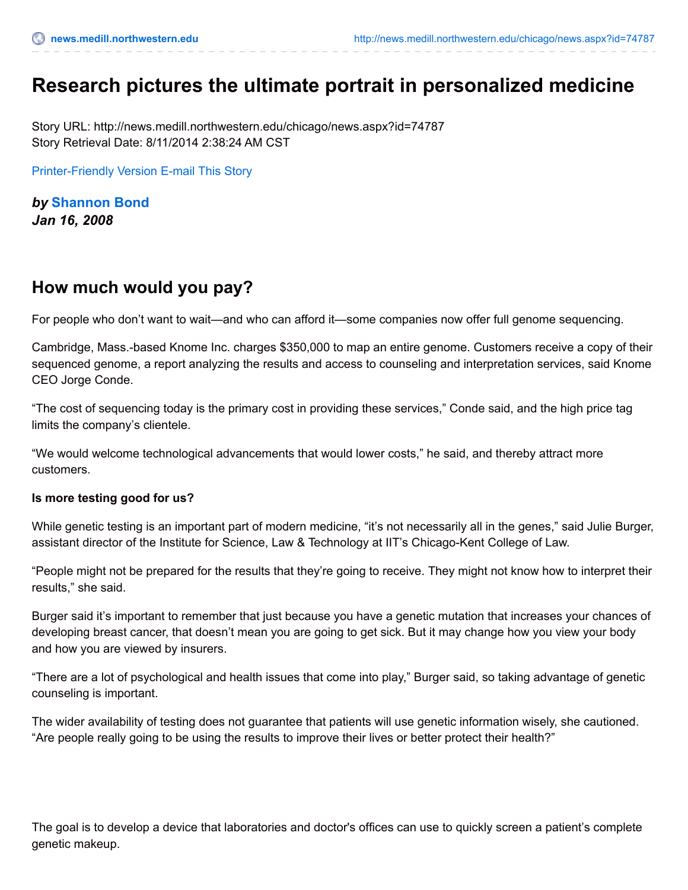## **Research pictures the ultimate portrait in personalized medicine**

Story URL: http://news.medill.northwestern.edu/chicago/news.aspx?id=74787 Story Retrieval Date: 8/11/2014 2:38:24 AM CST

[Printer-Friendly](http://news.medill.northwestern.edu/chicago/news.aspx?id=74787&print=1) Version [E-mail](http://news.medill.northwestern.edu/chicago/emailFriend.aspx?id=NzQ3ODc=) This Story

*by* **[Shannon](http://news.medill.northwestern.edu/WorkArea/linkit.aspx?LinkIdentifier=id&ItemID=62377) Bond** *Jan 16, 2008*

## **How much would you pay?**

For people who don't want to wait—and who can afford it—some companies now offer full genome sequencing.

Cambridge, Mass.-based Knome Inc. charges \$350,000 to map an entire genome. Customers receive a copy of their sequenced genome, a report analyzing the results and access to counseling and interpretation services, said Knome CEO Jorge Conde.

"The cost of sequencing today is the primary cost in providing these services," Conde said, and the high price tag limits the company's clientele.

"We would welcome technological advancements that would lower costs," he said, and thereby attract more customers.

## **Is more testing good for us?**

While genetic testing is an important part of modern medicine, "it's not necessarily all in the genes," said Julie Burger, assistant director of the Institute for Science, Law & Technology at IIT's Chicago-Kent College of Law.

"People might not be prepared for the results that they're going to receive. They might not know how to interpret their results," she said.

Burger said it's important to remember that just because you have a genetic mutation that increases your chances of developing breast cancer, that doesn't mean you are going to get sick. But it may change how you view your body and how you are viewed by insurers.

"There are a lot of psychological and health issues that come into play," Burger said, so taking advantage of genetic counseling is important.

The wider availability of testing does not guarantee that patients will use genetic information wisely, she cautioned. "Are people really going to be using the results to improve their lives or better protect their health?"

The goal is to develop a device that laboratories and doctor's offices can use to quickly screen a patient's complete genetic makeup.